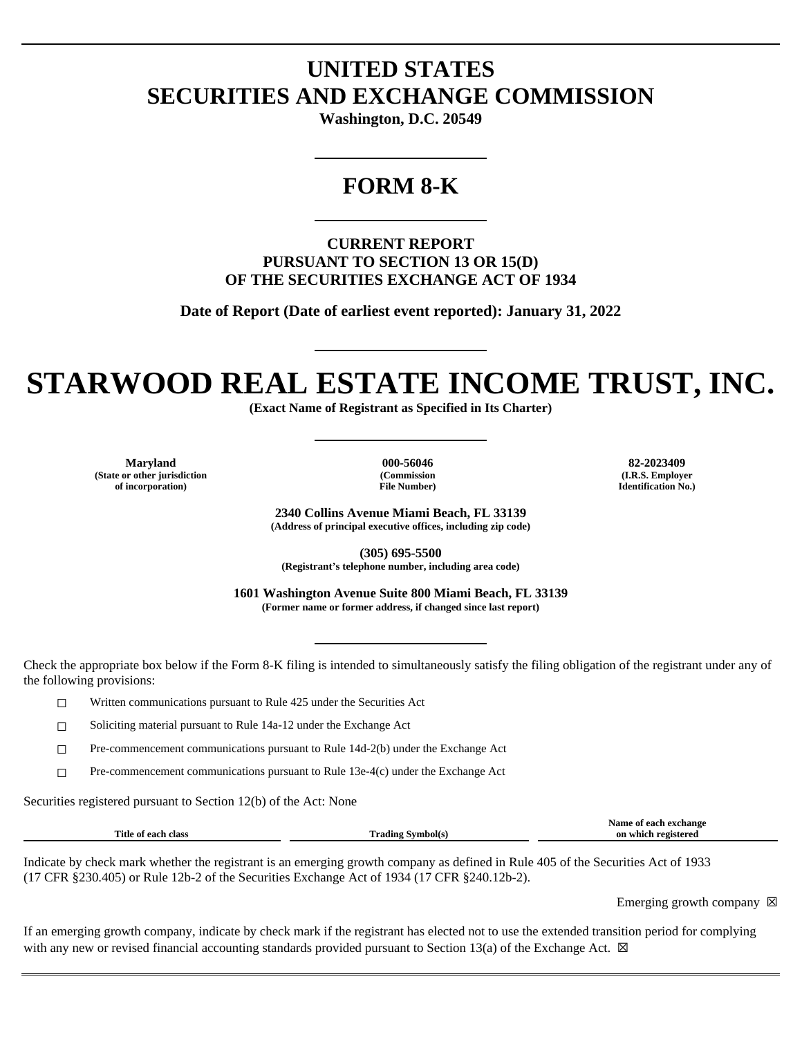## **UNITED STATES SECURITIES AND EXCHANGE COMMISSION**

**Washington, D.C. 20549**

### **FORM 8-K**

**CURRENT REPORT PURSUANT TO SECTION 13 OR 15(D) OF THE SECURITIES EXCHANGE ACT OF 1934**

**Date of Report (Date of earliest event reported): January 31, 2022**

# **STARWOOD REAL ESTATE INCOME TRUST, INC.**

**(Exact Name of Registrant as Specified in Its Charter)**

**Maryland 000-56046 82-2023409 (State or other jurisdiction of incorporation)**

**(Commission File Number)**

**(I.R.S. Employer Identification No.)**

**2340 Collins Avenue Miami Beach, FL 33139 (Address of principal executive offices, including zip code)**

**(305) 695-5500 (Registrant's telephone number, including area code)**

**1601 Washington Avenue Suite 800 Miami Beach, FL 33139 (Former name or former address, if changed since last report)**

Check the appropriate box below if the Form 8-K filing is intended to simultaneously satisfy the filing obligation of the registrant under any of the following provisions:

☐ Written communications pursuant to Rule 425 under the Securities Act

☐ Soliciting material pursuant to Rule 14a-12 under the Exchange Act

☐ Pre-commencement communications pursuant to Rule 14d-2(b) under the Exchange Act

☐ Pre-commencement communications pursuant to Rule 13e-4(c) under the Exchange Act

Securities registered pursuant to Section 12(b) of the Act: None

|                     |                   | Name of each exchange  |
|---------------------|-------------------|------------------------|
| Title of each class | Frading Symbol(s) | on which<br>registered |
|                     |                   |                        |

Indicate by check mark whether the registrant is an emerging growth company as defined in Rule 405 of the Securities Act of 1933 (17 CFR §230.405) or Rule 12b-2 of the Securities Exchange Act of 1934 (17 CFR §240.12b-2).

Emerging growth company  $\boxtimes$ 

If an emerging growth company, indicate by check mark if the registrant has elected not to use the extended transition period for complying with any new or revised financial accounting standards provided pursuant to Section 13(a) of the Exchange Act.  $\boxtimes$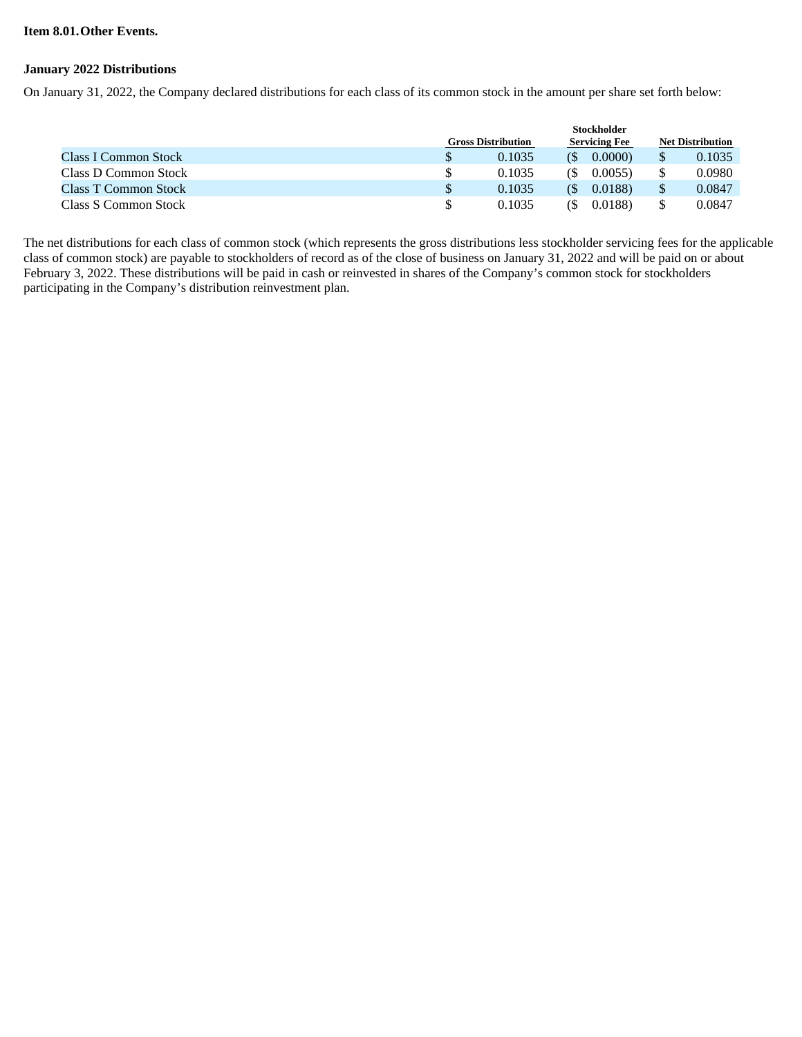#### **Item 8.01.Other Events.**

#### **January 2022 Distributions**

On January 31, 2022, the Company declared distributions for each class of its common stock in the amount per share set forth below:

|                      | <b>Stockholder</b>        |        |                      |        |                         |        |
|----------------------|---------------------------|--------|----------------------|--------|-------------------------|--------|
|                      | <b>Gross Distribution</b> |        | <b>Servicing Fee</b> |        | <b>Net Distribution</b> |        |
| Class I Common Stock |                           | 0.1035 |                      | 0.0000 |                         | 0.1035 |
| Class D Common Stock |                           | 0.1035 | (S                   | 0.0055 |                         | 0.0980 |
| Class T Common Stock |                           | 0.1035 |                      | 0.0188 |                         | 0.0847 |
| Class S Common Stock |                           | 0.1035 |                      | 0.0188 |                         | 0.0847 |

The net distributions for each class of common stock (which represents the gross distributions less stockholder servicing fees for the applicable class of common stock) are payable to stockholders of record as of the close of business on January 31, 2022 and will be paid on or about February 3, 2022. These distributions will be paid in cash or reinvested in shares of the Company's common stock for stockholders participating in the Company's distribution reinvestment plan.